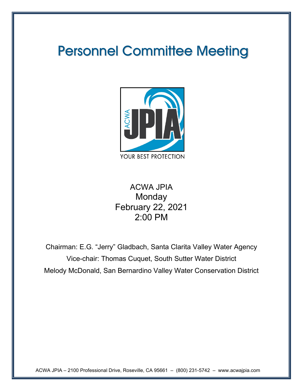# Personnel Committee Meeting



# ACWA JPIA **Monday** February 22, 2021 2:00 PM

Chairman: E.G. "Jerry" Gladbach, Santa Clarita Valley Water Agency Vice-chair: Thomas Cuquet, South Sutter Water District Melody McDonald, San Bernardino Valley Water Conservation District

ACWA JPIA – 2100 Professional Drive, Roseville, CA 95661 – (800) 231-5742 – www.acwajpia.com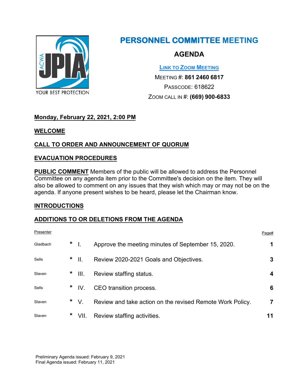

# **PERSONNEL COMMITTEE MEETING**

# **AGENDA**

**[LINK TO ZOOM MEETING](https://us02web.zoom.us/j/86124606817?pwd=WVdqcEpHNERGd3VCc1dDdnRMZFA4UT09)**

MEETING #: **861 2460 6817** PASSCODE: 618622 ZOOM CALL IN #: **(669) 900-6833**

# **Monday, February 22, 2021, 2:00 PM**

**WELCOME**

# **CALL TO ORDER AND ANNOUNCEMENT OF QUORUM**

### **EVACUATION PROCEDURES**

**PUBLIC COMMENT** Members of the public will be allowed to address the Personnel Committee on any agenda item prior to the Committee's decision on the item. They will also be allowed to comment on any issues that they wish which may or may not be on the agenda. If anyone present wishes to be heard, please let the Chairman know.

#### **INTRODUCTIONS**

#### **ADDITIONS TO OR DELETIONS FROM THE AGENDA**

| Presenter |          |                                                           | Page# |
|-----------|----------|-----------------------------------------------------------|-------|
| Gladbach  | $*$      | Approve the meeting minutes of September 15, 2020.        | 1     |
| Sells     | $*$      | Review 2020-2021 Goals and Objectives.                    | 3     |
| Slaven    | $*$ III. | Review staffing status.                                   | 4     |
| Sells     | $*$ IV.  | CEO transition process.                                   | 6     |
| Slaven    | $*$ V.   | Review and take action on the revised Remote Work Policy. | 7     |
| Slaven    | $*$ VII. | Review staffing activities.                               | 11    |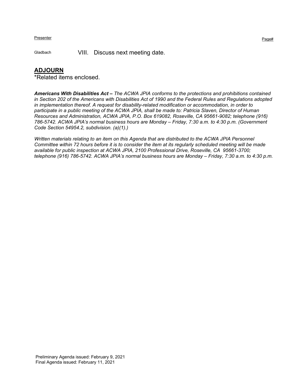Gladbach VIII. Discuss next meeting date.

#### **ADJOURN**

\*Related items enclosed.

*Americans With Disabilities Act – The ACWA JPIA conforms to the protections and prohibitions contained in Section 202 of the Americans with Disabilities Act of 1990 and the Federal Rules and Regulations adopted in implementation thereof. A request for disability-related modification or accommodation, in order to participate in a public meeting of the ACWA JPIA, shall be made to: Patricia Slaven, Director of Human Resources and Administration, ACWA JPIA, P.O. Box 619082, Roseville, CA 95661-9082; telephone (916) 786-5742. ACWA JPIA's normal business hours are Monday – Friday, 7:30 a.m. to 4:30 p.m. (Government Code Section 54954.2, subdivision. (a)(1).)*

*Written materials relating to an item on this Agenda that are distributed to the ACWA JPIA Personnel Committee within 72 hours before it is to consider the item at its regularly scheduled meeting will be made available for public inspection at ACWA JPIA, 2100 Professional Drive, Roseville, CA 95661-3700; telephone (916) 786-5742. ACWA JPIA's normal business hours are Monday – Friday, 7:30 a.m. to 4:30 p.m.*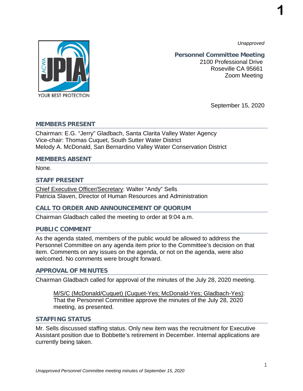*Unapproved*

**1**



**Personnel Committee Meeting** 2100 Professional Drive Roseville CA 95661 Zoom Meeting

September 15, 2020

#### **MEMBERS PRESENT**

Chairman: E.G. "Jerry" Gladbach, Santa Clarita Valley Water Agency Vice-chair: Thomas Cuquet, South Sutter Water District Melody A. McDonald, San Bernardino Valley Water Conservation District

#### **MEMBERS ABSENT**

None.

#### **STAFF PRESENT**

Chief Executive Officer/Secretary: Walter "Andy" Sells Patricia Slaven, Director of Human Resources and Administration

#### **CALL TO ORDER AND ANNOUNCEMENT OF QUORUM**

Chairman Gladbach called the meeting to order at 9:04 a.m.

#### **PUBLIC COMMENT**

As the agenda stated, members of the public would be allowed to address the Personnel Committee on any agenda item prior to the Committee's decision on that item. Comments on any issues on the agenda, or not on the agenda, were also welcomed. No comments were brought forward.

#### **APPROVAL OF MINUTES**

Chairman Gladbach called for approval of the minutes of the July 28, 2020 meeting.

M/S/C (McDonald/Cuquet) (Cuquet-Yes; McDonald-Yes; Gladbach-Yes): That the Personnel Committee approve the minutes of the July 28, 2020 meeting, as presented.

#### **STAFFING STATUS**

Mr. Sells discussed staffing status. Only new item was the recruitment for Executive Assistant position due to Bobbette's retirement in December. Internal applications are currently being taken.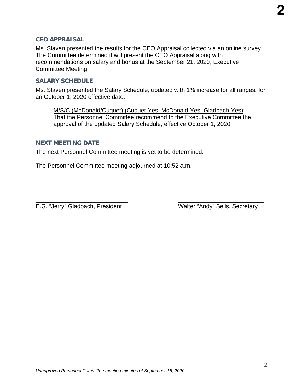Ms. Slaven presented the results for the CEO Appraisal collected via an online survey. The Committee determined it will present the CEO Appraisal along with recommendations on salary and bonus at the September 21, 2020, Executive Committee Meeting.

#### **SALARY SCHEDULE**

Ms. Slaven presented the Salary Schedule, updated with 1% increase for all ranges, for an October 1, 2020 effective date.

M/S/C (McDonald/Cuquet) (Cuquet-Yes; McDonald-Yes; Gladbach-Yes): That the Personnel Committee recommend to the Executive Committee the approval of the updated Salary Schedule, effective October 1, 2020.

#### **NEXT MEETING DATE**

The next Personnel Committee meeting is yet to be determined.

The Personnel Committee meeting adjourned at 10:52 a.m.

\_\_\_\_\_\_\_\_\_\_\_\_\_\_\_\_\_\_\_\_\_\_\_\_\_\_\_\_ \_\_\_\_\_\_\_\_\_\_\_\_\_\_\_\_\_\_\_\_\_\_\_\_\_\_ E.G. "Jerry" Gladbach, President Walter "Andy" Sells, Secretary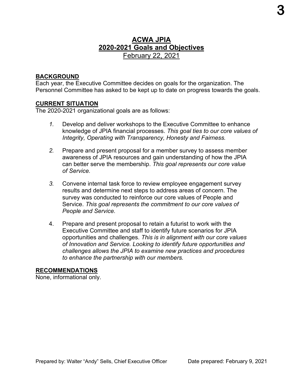# **ACWA JPIA 2020-2021 Goals and Objectives** February 22, 2021

#### **BACKGROUND**

Each year, the Executive Committee decides on goals for the organization. The Personnel Committee has asked to be kept up to date on progress towards the goals.

#### **CURRENT SITUATION**

The 2020-2021 organizational goals are as follows:

- *1.* Develop and deliver workshops to the Executive Committee to enhance knowledge of JPIA financial processes. *This goal ties to our core values of Integrity, Operating with Transparency, Honesty and Fairness.*
- *2.* Prepare and present proposal for a member survey to assess member awareness of JPIA resources and gain understanding of how the JPIA can better serve the membership. *This goal represents our core value of Service.*
- *3.* Convene internal task force to review employee engagement survey results and determine next steps to address areas of concern. The survey was conducted to reinforce our core values of People and Service. *This goal represents the commitment to our core values of People and Service.*
- 4. Prepare and present proposal to retain a futurist to work with the Executive Committee and staff to identify future scenarios for JPIA opportunities and challenges. *This is in alignment with our core values of Innovation and Service. Looking to identify future opportunities and challenges allows the JPIA to examine new practices and procedures to enhance the partnership with our members.*

#### **RECOMMENDATIONS**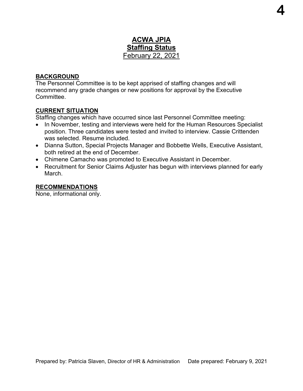# **ACWA JPIA Staffing Status** February 22, 2021

#### **BACKGROUND**

The Personnel Committee is to be kept apprised of staffing changes and will recommend any grade changes or new positions for approval by the Executive **Committee** 

#### **CURRENT SITUATION**

Staffing changes which have occurred since last Personnel Committee meeting:

- In November, testing and interviews were held for the Human Resources Specialist position. Three candidates were tested and invited to interview. Cassie Crittenden was selected. Resume included.
- Dianna Sutton, Special Projects Manager and Bobbette Wells, Executive Assistant, both retired at the end of December.
- Chimene Camacho was promoted to Executive Assistant in December.
- Recruitment for Senior Claims Adjuster has begun with interviews planned for early March.

#### **RECOMMENDATIONS**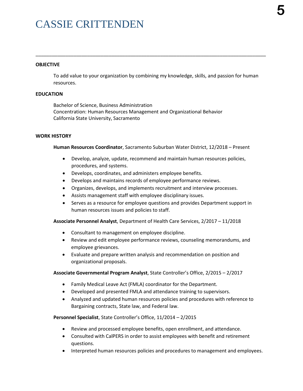# CASSIE CRITTENDEN

#### **OBJECTIVE**

To add value to your organization by combining my knowledge, skills, and passion for human resources.

\_\_\_\_\_\_\_\_\_\_\_\_\_\_\_\_\_\_\_\_\_\_\_\_\_\_\_\_\_\_\_\_\_\_\_\_\_\_\_\_\_\_\_\_\_\_\_\_\_\_\_\_\_\_\_\_\_\_\_\_\_\_\_\_\_\_\_\_\_\_\_\_\_\_\_\_\_\_\_\_\_\_\_\_\_

#### **EDUCATION**

Bachelor of Science, Business Administration Concentration: Human Resources Management and Organizational Behavior California State University, Sacramento

#### **WORK HISTORY**

**Human Resources Coordinator**, Sacramento Suburban Water District, 12/2018 – Present

- Develop, analyze, update, recommend and maintain human resources policies, procedures, and systems.
- Develops, coordinates, and administers employee benefits.
- Develops and maintains records of employee performance reviews.
- Organizes, develops, and implements recruitment and interview processes.
- Assists management staff with employee disciplinary issues.
- Serves as a resource for employee questions and provides Department support in human resources issues and policies to staff.

**Associate Personnel Analyst**, Department of Health Care Services, 2/2017 – 11/2018

- Consultant to management on employee discipline.
- Review and edit employee performance reviews, counseling memorandums, and employee grievances.
- Evaluate and prepare written analysis and recommendation on position and organizational proposals.

#### **Associate Governmental Program Analyst**, State Controller's Office, 2/2015 – 2/2017

- Family Medical Leave Act (FMLA) coordinator for the Department.
- Developed and presented FMLA and attendance training to supervisors.
- Analyzed and updated human resources policies and procedures with reference to Bargaining contracts, State law, and Federal law.

**Personnel Specialist**, State Controller's Office, 11/2014 – 2/2015

- Review and processed employee benefits, open enrollment, and attendance.
- Consulted with CalPERS in order to assist employees with benefit and retirement questions.
- Interpreted human resources policies and procedures to management and employees.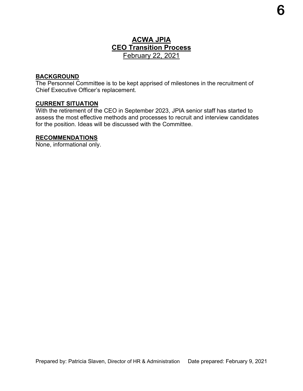# **ACWA JPIA CEO Transition Process** February 22, 2021

#### **BACKGROUND**

The Personnel Committee is to be kept apprised of milestones in the recruitment of Chief Executive Officer's replacement.

#### **CURRENT SITUATION**

With the retirement of the CEO in September 2023, JPIA senior staff has started to assess the most effective methods and processes to recruit and interview candidates for the position. Ideas will be discussed with the Committee.

#### **RECOMMENDATIONS**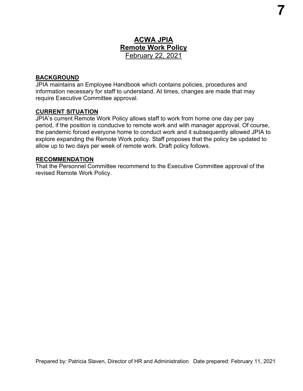# **ACWA JPIA Remote Work Policy** February 22, 2021

#### **BACKGROUND**

JPIA maintains an Employee Handbook which contains policies, procedures and information necessary for staff to understand. At times, changes are made that may require Executive Committee approval.

#### **CURRENT SITUATION**

JPIA's current Remote Work Policy allows staff to work from home one day per pay period, if the position is conducive to remote work and with manager approval. Of course, the pandemic forced everyone home to conduct work and it subsequently allowed JPIA to explore expanding the Remote Work policy. Staff proposes that the policy be updated to allow up to two days per week of remote work. Draft policy follows.

#### **RECOMMENDATION**

That the Personnel Committee recommend to the Executive Committee approval of the revised Remote Work Policy.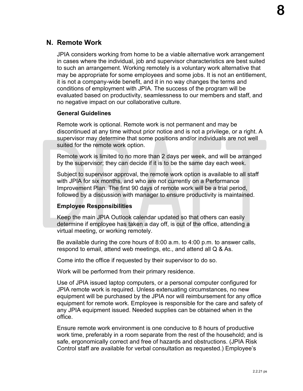# **N. Remote Work**

JPIA considers working from home to be a viable alternative work arrangement in cases where the individual, job and supervisor characteristics are best suited to such an arrangement. Working remotely is a voluntary work alternative that may be appropriate for some employees and some jobs. It is not an entitlement, it is not a company-wide benefit, and it in no way changes the terms and conditions of employment with JPIA. The success of the program will be evaluated based on productivity, seamlessness to our members and staff, and no negative impact on our collaborative culture.

#### **General Guidelines**

Remote work is optional. Remote work is not permanent and may be discontinued at any time without prior notice and is not a privilege, or a right. A supervisor may determine that some positions and/or individuals are not well suited for the remote work option.

Remote work is limited to no more than 2 days per week, and will be arranged by the supervisor; they can decide if it is to be the same day each week.

Subject to supervisor approval, the remote work option is available to all staff with JPIA for six months, and who are not currently on a Performance Improvement Plan. The first 90 days of remote work will be a trial period, followed by a discussion with manager to ensure productivity is maintained.

#### **Employee Responsibilities**

Keep the main JPIA Outlook calendar updated so that others can easily determine if employee has taken a day off, is out of the office, attending a virtual meeting, or working remotely.

Be available during the core hours of 8:00 a.m. to 4:00 p.m. to answer calls, respond to email, attend web meetings, etc., and attend all Q & As.

Come into the office if requested by their supervisor to do so.

Work will be performed from their primary residence.

Use of JPIA issued laptop computers, or a personal computer configured for JPIA remote work is required. Unless extenuating circumstances, no new equipment will be purchased by the JPIA nor will reimbursement for any office equipment for remote work. Employee is responsible for the care and safety of any JPIA equipment issued. Needed supplies can be obtained when in the office.

Ensure remote work environment is one conducive to 8 hours of productive work time, preferably in a room separate from the rest of the household; and is safe, ergonomically correct and free of hazards and obstructions. (JPIA Risk Control staff are available for verbal consultation as requested.) Employee's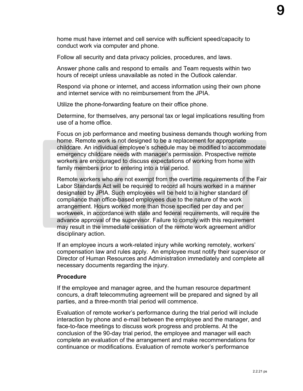home must have internet and cell service with sufficient speed/capacity to conduct work via computer and phone.

Follow all security and data privacy policies, procedures, and laws.

Answer phone calls and respond to emails and Team requests within two hours of receipt unless unavailable as noted in the Outlook calendar.

Respond via phone or internet, and access information using their own phone and internet service with no reimbursement from the JPIA.

Utilize the phone-forwarding feature on their office phone.

Determine, for themselves, any personal tax or legal implications resulting from use of a home office.

Focus on job performance and meeting business demands though working from home. Remote work is not designed to be a replacement for appropriate childcare. An individual employee's schedule may be modified to accommodate emergency childcare needs with manager's permission. Prospective remote workers are encouraged to discuss expectations of working from home with family members prior to entering into a trial period.

Remote workers who are not exempt from the overtime requirements of the Fair Labor Standards Act will be required to record all hours worked in a manner designated by JPIA. Such employees will be held to a higher standard of compliance than office-based employees due to the nature of the work arrangement. Hours worked more than those specified per day and per workweek, in accordance with state and federal requirements, will require the advance approval of the supervisor. Failure to comply with this requirement may result in the immediate cessation of the remote work agreement and/or disciplinary action.

If an employee incurs a work-related injury while working remotely, workers' compensation law and rules apply. An employee must notify their supervisor or Director of Human Resources and Administration immediately and complete all necessary documents regarding the injury.

#### **Procedure**

If the employee and manager agree, and the human resource department concurs, a draft telecommuting agreement will be prepared and signed by all parties, and a three-month trial period will commence.

Evaluation of remote worker's performance during the trial period will include interaction by phone and e-mail between the employee and the manager, and face-to-face meetings to discuss work progress and problems. At the conclusion of the 90-day trial period, the employee and manager will each complete an evaluation of the arrangement and make recommendations for continuance or modifications. Evaluation of remote worker's performance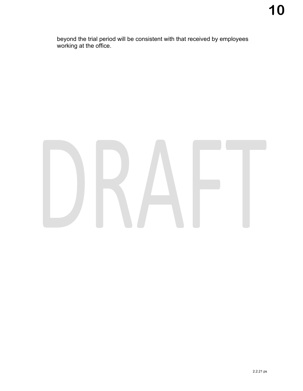beyond the trial period will be consistent with that received by employees working at the office.